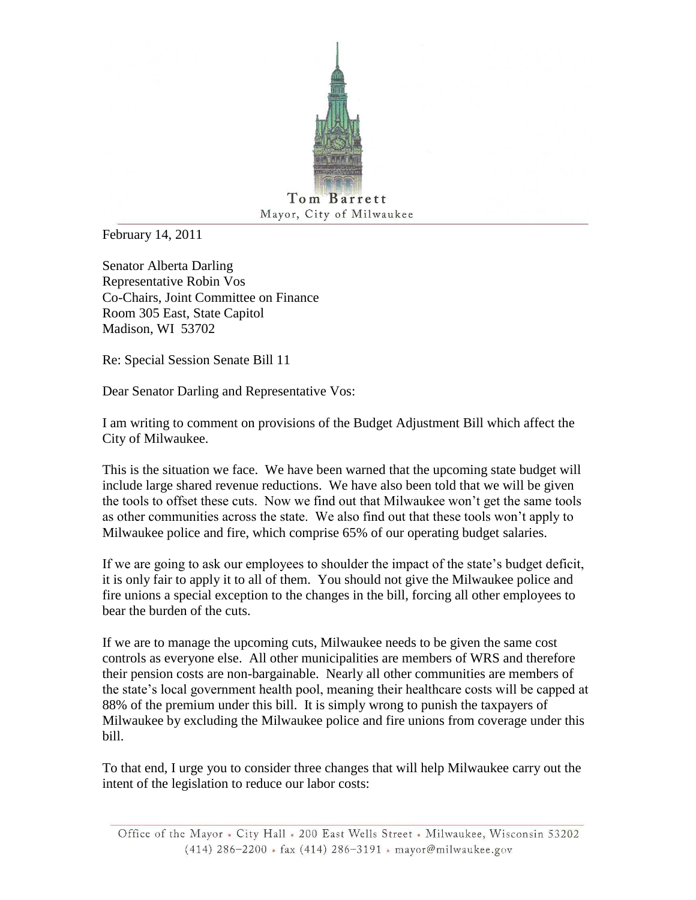

Tom Barrett Mayor, City of Milwaukee

February 14, 2011

Senator Alberta Darling Representative Robin Vos Co-Chairs, Joint Committee on Finance Room 305 East, State Capitol Madison, WI 53702

Re: Special Session Senate Bill 11

Dear Senator Darling and Representative Vos:

I am writing to comment on provisions of the Budget Adjustment Bill which affect the City of Milwaukee.

This is the situation we face. We have been warned that the upcoming state budget will include large shared revenue reductions. We have also been told that we will be given the tools to offset these cuts. Now we find out that Milwaukee won't get the same tools as other communities across the state. We also find out that these tools won't apply to Milwaukee police and fire, which comprise 65% of our operating budget salaries.

If we are going to ask our employees to shoulder the impact of the state's budget deficit, it is only fair to apply it to all of them. You should not give the Milwaukee police and fire unions a special exception to the changes in the bill, forcing all other employees to bear the burden of the cuts.

If we are to manage the upcoming cuts, Milwaukee needs to be given the same cost controls as everyone else. All other municipalities are members of WRS and therefore their pension costs are non-bargainable. Nearly all other communities are members of the state's local government health pool, meaning their healthcare costs will be capped at 88% of the premium under this bill. It is simply wrong to punish the taxpayers of Milwaukee by excluding the Milwaukee police and fire unions from coverage under this bill.

To that end, I urge you to consider three changes that will help Milwaukee carry out the intent of the legislation to reduce our labor costs:

Office of the Mayor . City Hall . 200 East Wells Street . Milwaukee, Wisconsin 53202 (414) 286-2200 · fax (414) 286-3191 · mayor@milwaukee.gov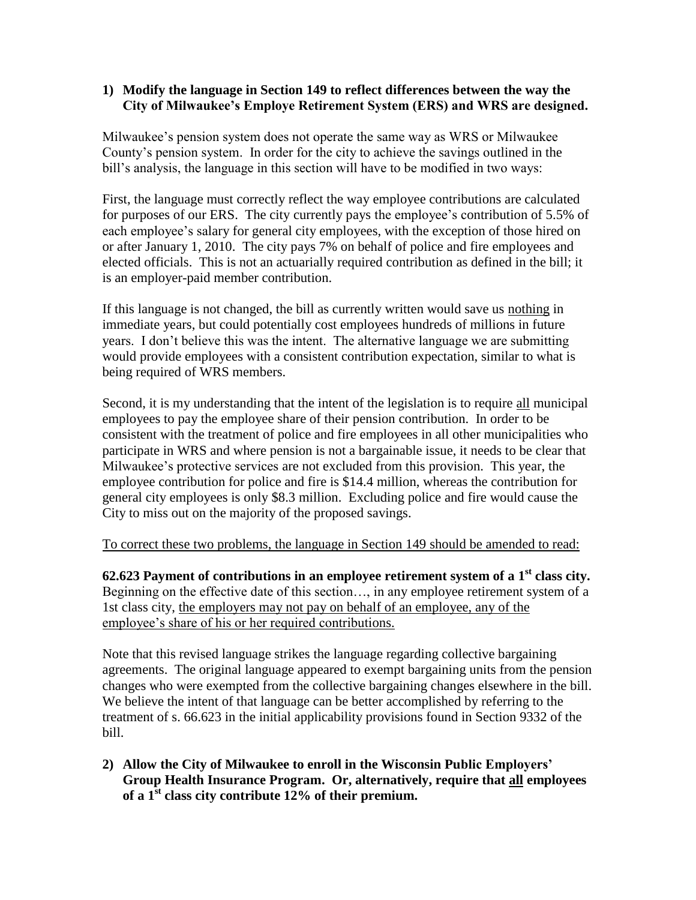## **1) Modify the language in Section 149 to reflect differences between the way the City of Milwaukee's Employe Retirement System (ERS) and WRS are designed.**

Milwaukee's pension system does not operate the same way as WRS or Milwaukee County's pension system. In order for the city to achieve the savings outlined in the bill's analysis, the language in this section will have to be modified in two ways:

First, the language must correctly reflect the way employee contributions are calculated for purposes of our ERS. The city currently pays the employee's contribution of 5.5% of each employee's salary for general city employees, with the exception of those hired on or after January 1, 2010. The city pays 7% on behalf of police and fire employees and elected officials. This is not an actuarially required contribution as defined in the bill; it is an employer-paid member contribution.

If this language is not changed, the bill as currently written would save us nothing in immediate years, but could potentially cost employees hundreds of millions in future years. I don't believe this was the intent. The alternative language we are submitting would provide employees with a consistent contribution expectation, similar to what is being required of WRS members.

Second, it is my understanding that the intent of the legislation is to require all municipal employees to pay the employee share of their pension contribution. In order to be consistent with the treatment of police and fire employees in all other municipalities who participate in WRS and where pension is not a bargainable issue, it needs to be clear that Milwaukee's protective services are not excluded from this provision. This year, the employee contribution for police and fire is \$14.4 million, whereas the contribution for general city employees is only \$8.3 million. Excluding police and fire would cause the City to miss out on the majority of the proposed savings.

To correct these two problems, the language in Section 149 should be amended to read:

**62.623 Payment of contributions in an employee retirement system of a 1st class city.** Beginning on the effective date of this section…, in any employee retirement system of a 1st class city, the employers may not pay on behalf of an employee, any of the employee's share of his or her required contributions.

Note that this revised language strikes the language regarding collective bargaining agreements. The original language appeared to exempt bargaining units from the pension changes who were exempted from the collective bargaining changes elsewhere in the bill. We believe the intent of that language can be better accomplished by referring to the treatment of s. 66.623 in the initial applicability provisions found in Section 9332 of the bill.

**2) Allow the City of Milwaukee to enroll in the Wisconsin Public Employers' Group Health Insurance Program. Or, alternatively, require that all employees of a 1st class city contribute 12% of their premium.**